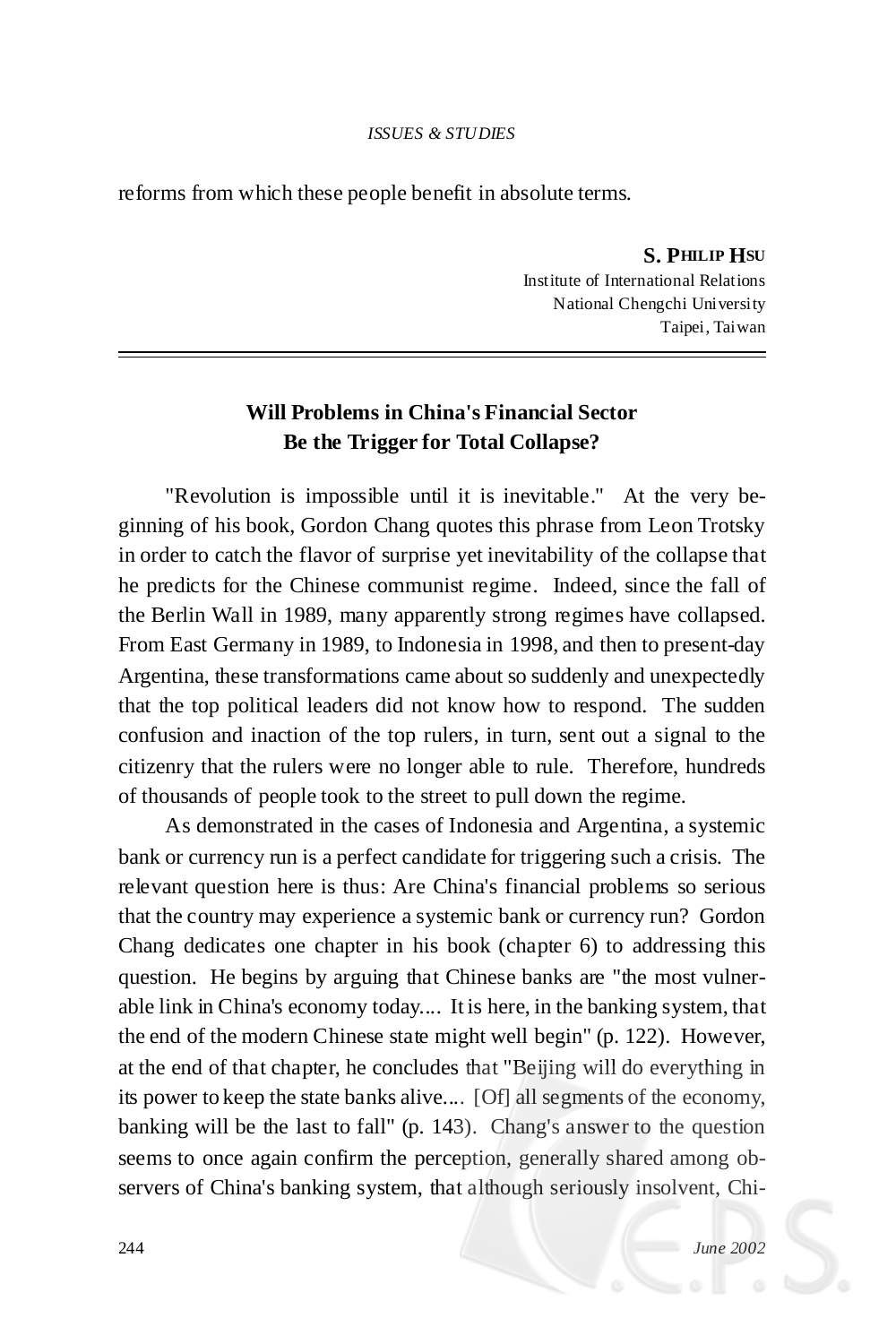## **Will Problems in China's Financial Sector Be the Trigger for Total Collapse?**

"Revolution is impossible until it is inevitable." At the very beginning of his book, Gordon Chang quotes this phrase from Leon Trotsky in order to catch the flavor of surprise yet inevitability of the collapse that he predicts for the Chinese communist regime. Indeed, since the fall of the Berlin Wall in 1989, many apparently strong regimes have collapsed. From East Germany in 1989, to Indonesia in 1998, and then to present-day Argentina, these transformations came about so suddenly and unexpectedly that the top political leaders did not know how to respond. The sudden confusion and inaction of the top rulers, in turn, sent out a signal to the citizenry that the rulers were no longer able to rule. Therefore, hundreds of thousands of people took to the street to pull down the regime.

As demonstrated in the cases of Indonesia and Argentina, a systemic bank or currency run is a perfect candidate for triggering such a crisis. The relevant question here is thus: Are China's financial problems so serious that the country may experience a systemic bank or currency run? Gordon Chang dedicates one chapter in his book (chapter 6) to addressing this question. He begins by arguing that Chinese banks are "the most vulnerable link in China's economy today.... It is here, in the banking system, that the end of the modern Chinese state might well begin" (p. 122). However, at the end of that chapter, he concludes that "Beijing will do everything in its power to keep the state banks alive.... [Of] all segments of the economy, banking will be the last to fall" (p. 143). Chang's answer to the question seems to once again confirm the perception, generally shared among observers of China's banking system, that although seriously insolvent, Chi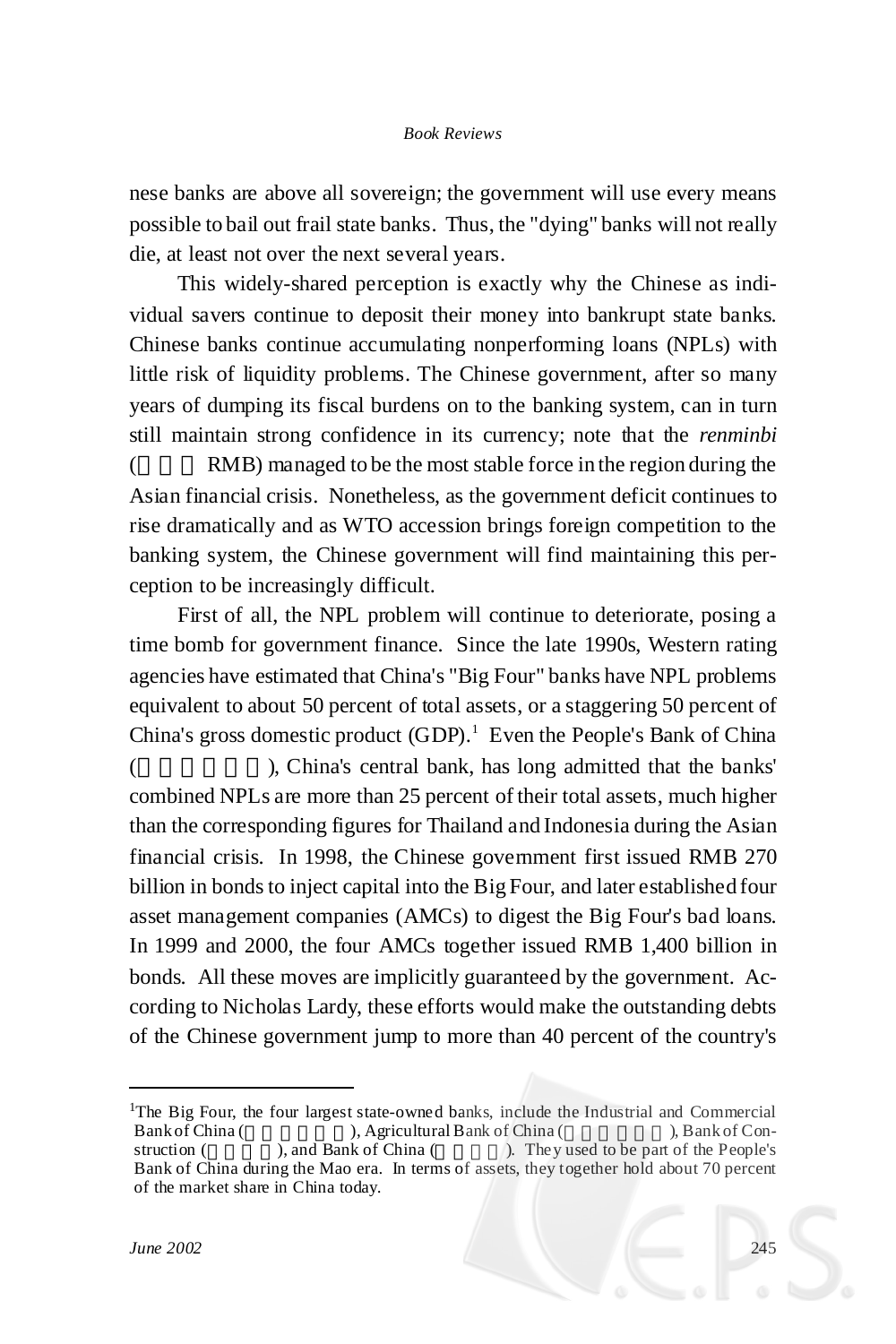nese banks are above all sovereign; the government will use every means possible to bail out frail state banks. Thus, the "dying" banks will not really die, at least not over the next several years.

This widely-shared perception is exactly why the Chinese as individual savers continue to deposit their money into bankrupt state banks. Chinese banks continue accumulating nonperforming loans (NPLs) with little risk of liquidity problems. The Chinese government, after so many years of dumping its fiscal burdens on to the banking system, can in turn still maintain strong confidence in its currency; note that the *renminbi* RMB) managed to be the most stable force in the region during the Asian financial crisis. Nonetheless, as the government deficit continues to rise dramatically and as WTO accession brings foreign competition to the banking system, the Chinese government will find maintaining this perception to be increasingly difficult.

First of all, the NPL problem will continue to deteriorate, posing a time bomb for government finance. Since the late 1990s, Western rating agencies have estimated that China's "Big Four" banks have NPL problems equivalent to about 50 percent of total assets, or a staggering 50 percent of China's gross domestic product (GDP). <sup>1</sup> Even the People's Bank of China ( ), China's central bank, has long admitted that the banks' combined NPLs are more than 25 percent of their total assets, much higher than the corresponding figures for Thailand and Indonesia during the Asian financial crisis. In 1998, the Chinese government first issued RMB 270 billion in bonds to inject capital into the Big Four, and later established four asset management companies (AMCs) to digest the Big Four's bad loans. In 1999 and 2000, the four AMCs together issued RMB 1,400 billion in bonds. All these moves are implicitly guaranteed by the government. According to Nicholas Lardy, these efforts would make the outstanding debts of the Chinese government jump to more than 40 percent of the country's

<sup>1</sup>The Big Four, the four largest state-owned banks, include the Industrial and Commercial Bank of China  $($ , Bank of Con- $\sum$ , Agricultural Bank of China ( struction ( ), and Bank of China ( ). They used to be part of the People's Bank of China during the Mao era. In terms of assets, they together hold about 70 percent of the market share in China today.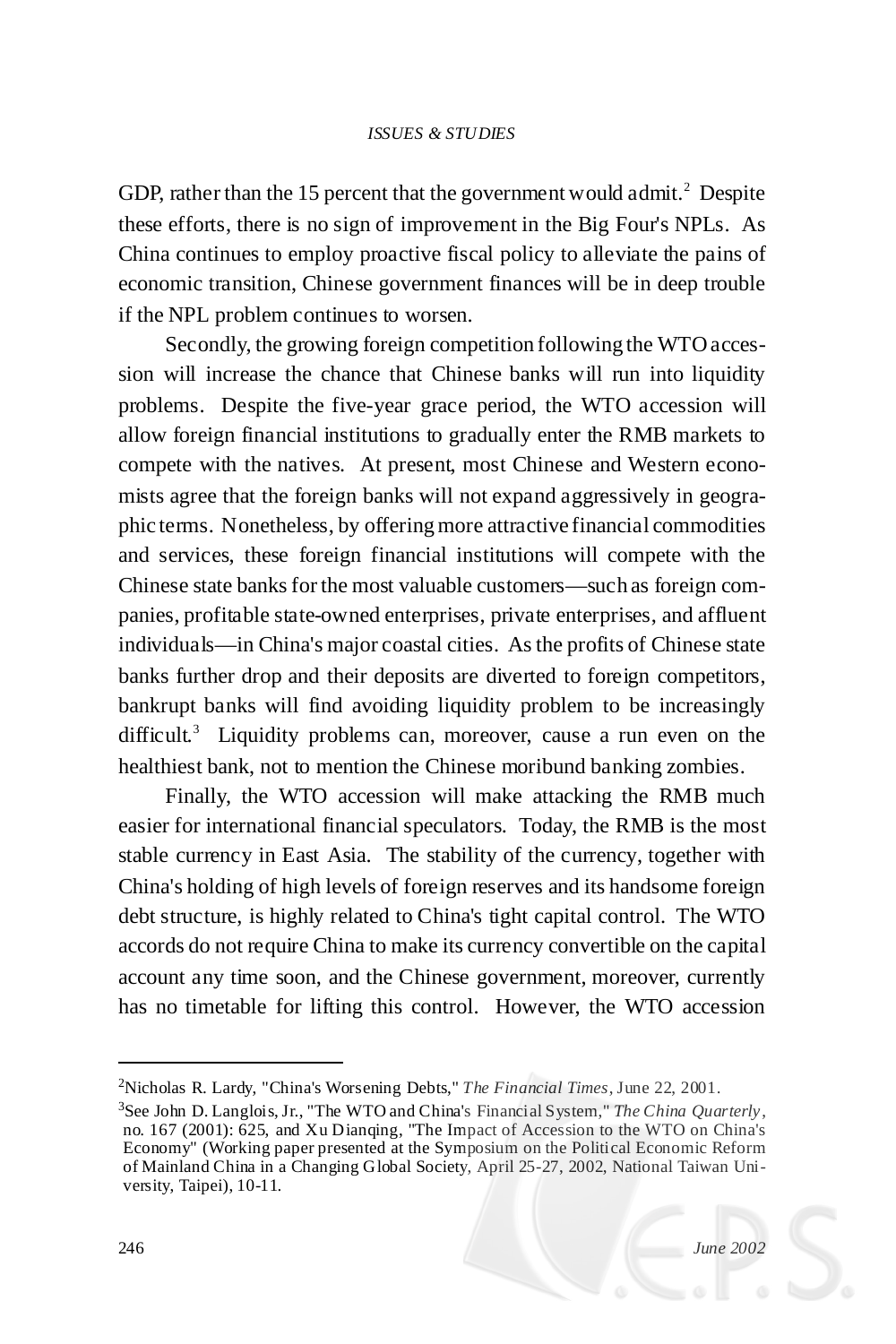GDP, rather than the 15 percent that the government would admit.<sup>2</sup> Despite these efforts, there is no sign of improvement in the Big Four's NPLs. As China continues to employ proactive fiscal policy to alleviate the pains of economic transition, Chinese government finances will be in deep trouble if the NPL problem continues to worsen.

Secondly, the growing foreign competition following the WTOaccession will increase the chance that Chinese banks will run into liquidity problems. Despite the five-year grace period, the WTO accession will allow foreign financial institutions to gradually enter the RMB markets to compete with the natives. At present, most Chinese and Western economists agree that the foreign banks will not expand aggressively in geographic terms. Nonetheless, by offeringmore attractive financial commodities and services, these foreign financial institutions will compete with the Chinese state banks for the most valuable customers—such as foreign companies, profitable state-owned enterprises, private enterprises, and affluent individuals— in China's major coastal cities. Asthe profits of Chinese state banks further drop and their deposits are diverted to foreign competitors, bankrupt banks will find avoiding liquidity problem to be increasingly difficult.<sup>3</sup> Liquidity problems can, moreover, cause a run even on the healthiest bank, not to mention the Chinese moribund banking zombies.

Finally, the WTO accession will make attacking the RMB much easier for international financial speculators. Today, the RMB is the most stable currency in East Asia. The stability of the currency, together with China's holding of high levels of foreign reserves and its handsome foreign debt structure, is highly related to China's tight capital control. The WTO accords do not require China to make its currency convertible on the capital account any time soon, and the Chinese government, moreover, currently has no timetable for lifting this control. However, the WTO accession

<sup>2</sup>Nicholas R. Lardy, "China's Worsening Debts," *The Financial Times*, June 22, 2001.

<sup>3</sup>See John D. Langlois, Jr., "The WTO and China's Financial System," *The China Quarterly*, no. 167 (2001): 625, and Xu Dianqing, "The Impact of Accession to the WTO on China's Economy" (Working paper presented at the Symposium on the Political Economic Reform of Mainland China in a Changing Global Society, April 25-27, 2002, National Taiwan University, Taipei), 10-11.